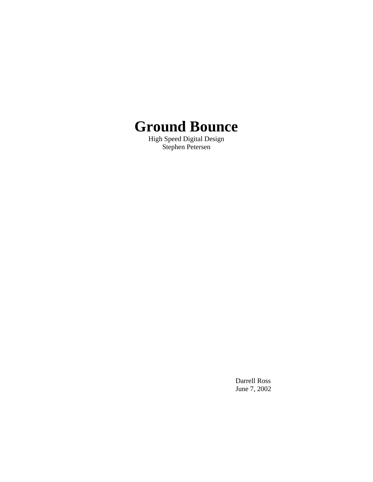

High Speed Digital Design Stephen Petersen

> Darrell Ross June 7, 2002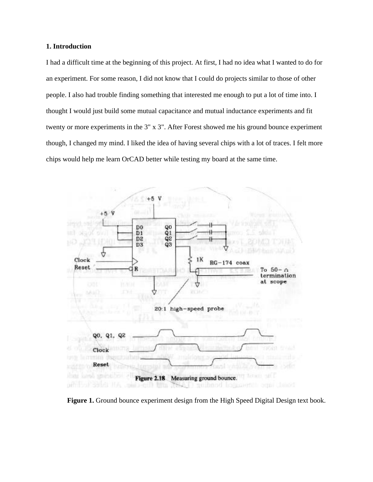#### **1. Introduction**

I had a difficult time at the beginning of this project. At first, I had no idea what I wanted to do for an experiment. For some reason, I did not know that I could do projects similar to those of other people. I also had trouble finding something that interested me enough to put a lot of time into. I thought I would just build some mutual capacitance and mutual inductance experiments and fit twenty or more experiments in the 3" x 3". After Forest showed me his ground bounce experiment though, I changed my mind. I liked the idea of having several chips with a lot of traces. I felt more chips would help me learn OrCAD better while testing my board at the same time.



**Figure 1.** Ground bounce experiment design from the High Speed Digital Design text book.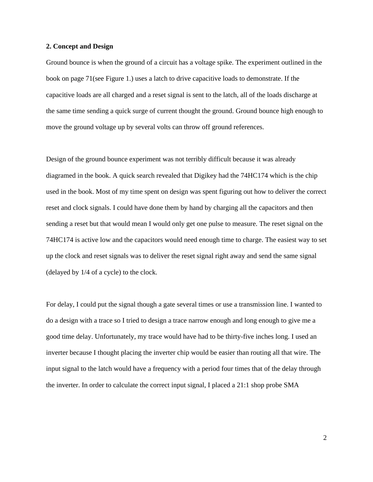### **2. Concept and Design**

Ground bounce is when the ground of a circuit has a voltage spike. The experiment outlined in the book on page 71(see Figure 1.) uses a latch to drive capacitive loads to demonstrate. If the capacitive loads are all charged and a reset signal is sent to the latch, all of the loads discharge at the same time sending a quick surge of current thought the ground. Ground bounce high enough to move the ground voltage up by several volts can throw off ground references.

Design of the ground bounce experiment was not terribly difficult because it was already diagramed in the book. A quick search revealed that Digikey had the 74HC174 which is the chip used in the book. Most of my time spent on design was spent figuring out how to deliver the correct reset and clock signals. I could have done them by hand by charging all the capacitors and then sending a reset but that would mean I would only get one pulse to measure. The reset signal on the 74HC174 is active low and the capacitors would need enough time to charge. The easiest way to set up the clock and reset signals was to deliver the reset signal right away and send the same signal (delayed by 1/4 of a cycle) to the clock.

For delay, I could put the signal though a gate several times or use a transmission line. I wanted to do a design with a trace so I tried to design a trace narrow enough and long enough to give me a good time delay. Unfortunately, my trace would have had to be thirty-five inches long. I used an inverter because I thought placing the inverter chip would be easier than routing all that wire. The input signal to the latch would have a frequency with a period four times that of the delay through the inverter. In order to calculate the correct input signal, I placed a 21:1 shop probe SMA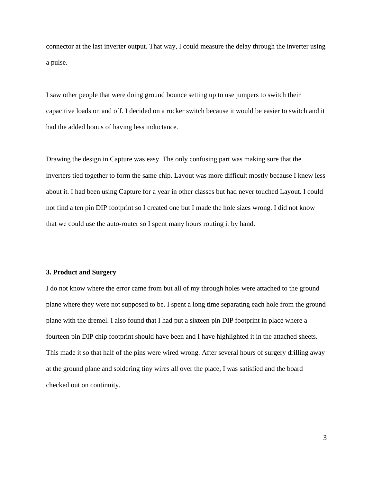connector at the last inverter output. That way, I could measure the delay through the inverter using a pulse.

I saw other people that were doing ground bounce setting up to use jumpers to switch their capacitive loads on and off. I decided on a rocker switch because it would be easier to switch and it had the added bonus of having less inductance.

Drawing the design in Capture was easy. The only confusing part was making sure that the inverters tied together to form the same chip. Layout was more difficult mostly because I knew less about it. I had been using Capture for a year in other classes but had never touched Layout. I could not find a ten pin DIP footprint so I created one but I made the hole sizes wrong. I did not know that we could use the auto-router so I spent many hours routing it by hand.

### **3. Product and Surgery**

I do not know where the error came from but all of my through holes were attached to the ground plane where they were not supposed to be. I spent a long time separating each hole from the ground plane with the dremel. I also found that I had put a sixteen pin DIP footprint in place where a fourteen pin DIP chip footprint should have been and I have highlighted it in the attached sheets. This made it so that half of the pins were wired wrong. After several hours of surgery drilling away at the ground plane and soldering tiny wires all over the place, I was satisfied and the board checked out on continuity.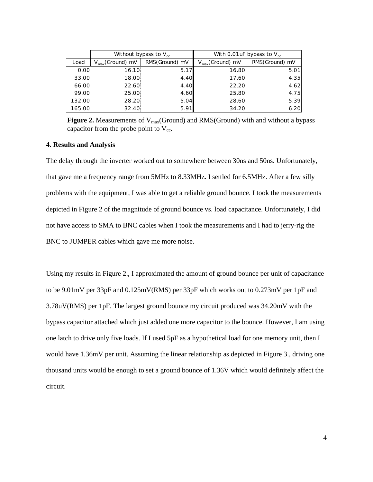|      |        | Without bypass to $V_{cc}$ |                | With 0.01 uF bypass to $V_{cc}$ |                |
|------|--------|----------------------------|----------------|---------------------------------|----------------|
| Load |        | $V_{max}(Ground)$ mV       | RMS(Ground) mV | $V_{max}(Ground)$ mV            | RMS(Ground) mV |
|      | 0.00   | 16.10                      | 5.17           | 16.80                           | 5.01           |
|      | 33.00  | 18.00                      | 4.40           | 17.60                           | 4.35           |
|      | 66.00  | 22.60                      | 4.40           | 22.20                           | 4.62           |
|      | 99.00  | 25.00                      | 4.60           | 25.80                           | 4.75           |
|      | 132.00 | 28.20                      | 5.04           | 28.60                           | 5.39           |
|      | 165.00 | 32.40                      | 5.91           | 34.20                           | 6.20           |

**Figure 2.** Measurements of V<sub>max</sub>(Ground) and RMS(Ground) with and without a bypass capacitor from the probe point to  $V_{cc}$ .

## **4. Results and Analysis**

The delay through the inverter worked out to somewhere between 30ns and 50ns. Unfortunately, that gave me a frequency range from 5MHz to 8.33MHz. I settled for 6.5MHz. After a few silly problems with the equipment, I was able to get a reliable ground bounce. I took the measurements depicted in Figure 2 of the magnitude of ground bounce vs. load capacitance. Unfortunately, I did not have access to SMA to BNC cables when I took the measurements and I had to jerry-rig the BNC to JUMPER cables which gave me more noise.

Using my results in Figure 2., I approximated the amount of ground bounce per unit of capacitance to be 9.01mV per 33pF and 0.125mV(RMS) per 33pF which works out to 0.273mV per 1pF and 3.78uV(RMS) per 1pF. The largest ground bounce my circuit produced was 34.20mV with the bypass capacitor attached which just added one more capacitor to the bounce. However, I am using one latch to drive only five loads. If I used 5pF as a hypothetical load for one memory unit, then I would have 1.36mV per unit. Assuming the linear relationship as depicted in Figure 3., driving one thousand units would be enough to set a ground bounce of 1.36V which would definitely affect the circuit.